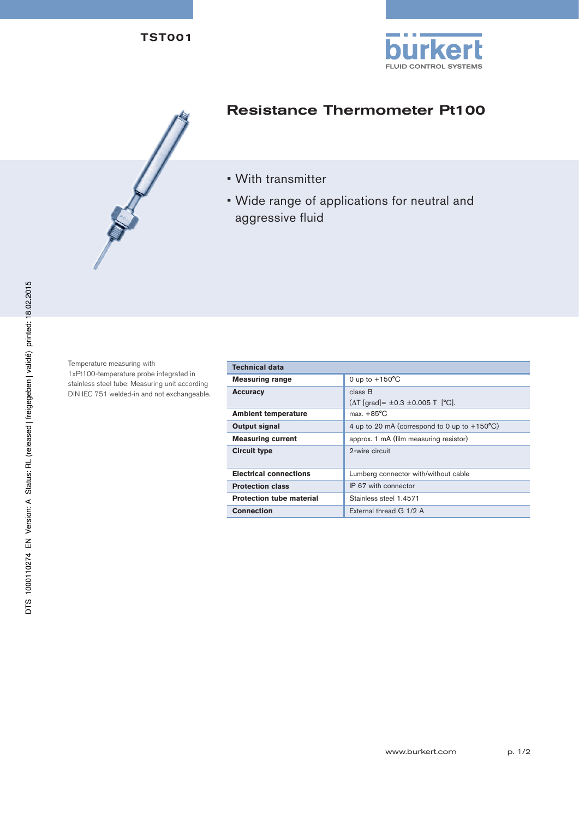

## Resistance Thermometer Pt100

- With transmitter
- Wide range of applications for neutral and aggressive fluid

Temperature measuring with 1xPt100-temperature probe integrated in stainless steel tube; Measuring unit according DIN IEC 751 welded-in and not exchangeable.

| <b>Technical data</b>           |                                                                |  |
|---------------------------------|----------------------------------------------------------------|--|
| <b>Measuring range</b>          | 0 up to $+150^{\circ}$ C                                       |  |
| <b>Accuracy</b>                 | class B                                                        |  |
|                                 | $(\Delta T \text{ [grad]} = \pm 0.3 \pm 0.005 T \text{ [°C]}.$ |  |
| <b>Ambient temperature</b>      | max. $+85^{\circ}$ C                                           |  |
| Output signal                   | 4 up to 20 mA (correspond to 0 up to $+150^{\circ}$ C)         |  |
| <b>Measuring current</b>        | approx. 1 mA (film measuring resistor)                         |  |
| <b>Circuit type</b>             | 2-wire circuit                                                 |  |
| <b>Electrical connections</b>   | Lumberg connector with/without cable                           |  |
| <b>Protection class</b>         | IP 67 with connector                                           |  |
| <b>Protection tube material</b> | Stainless steel 1.4571                                         |  |
| <b>Connection</b>               | External thread G 1/2 A                                        |  |